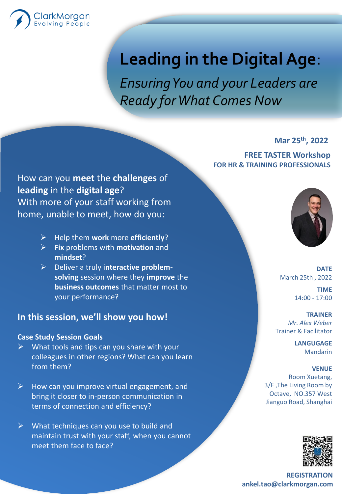

# **Leading in the Digital Age**:

*Ensuring You and your Leaders are Ready for What Comes Now*

**Mar 25th, 2022**

**FREE TASTER Workshop FOR HR & TRAINING PROFESSIONALS**

How can you **meet** the **challenges** of **leading** in the **digital age**? With more of your staff working from home, unable to meet, how do you:

- ➢ Help them **work** more **efficiently**?
- ➢ **Fix** problems with **motivation** and **mindset**?
- ➢ Deliver a truly i**nteractive problemsolving** session where they **improve** the **business outcomes** that matter most to your performance?

## **In this session, we'll show you how!**

#### **Case Study Session Goals**

- ➢ What tools and tips can you share with your colleagues in other regions? What can you learn from them?
- $\triangleright$  How can you improve virtual engagement, and bring it closer to in-person communication in terms of connection and efficiency?
- $\triangleright$  What techniques can you use to build and maintain trust with your staff, when you cannot meet them face to face?



**DATE** March 25th , 2022 **TIME**

14:00 - 17:00

#### **TRAINER** *Mr. Alex Weber* Trainer & Facilitator

**LANGUGAGE** Mandarin

### **VENUE**

Room Xuetang, 3/F ,The Living Room by Octave, NO.357 West Jianguo Road, Shanghai



**REGISTRATION ankel.tao@clarkmorgan.com**